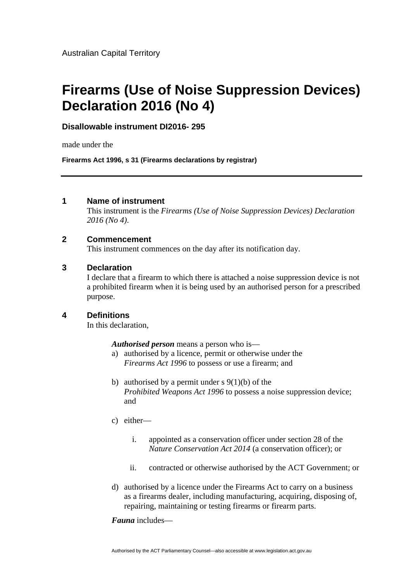# **Firearms (Use of Noise Suppression Devices) Declaration 2016 (No 4)**

**Disallowable instrument DI2016- 295** 

made under the

**Firearms Act 1996, s 31 (Firearms declarations by registrar)**

# **1 Name of instrument**

This instrument is the *Firearms (Use of Noise Suppression Devices) Declaration 2016 (No 4)*.

# **2 Commencement**

This instrument commences on the day after its notification day.

### **3 Declaration**

I declare that a firearm to which there is attached a noise suppression device is not a prohibited firearm when it is being used by an authorised person for a prescribed purpose.

# **4 Definitions**

In this declaration,

*Authorised person* means a person who is—

- a) authorised by a licence, permit or otherwise under the *Firearms Act 1996* to possess or use a firearm; and
- b) authorised by a permit under  $s \theta(1)(b)$  of the *Prohibited Weapons Act 1996* to possess a noise suppression device; and
- c) either
	- i. appointed as a conservation officer under section 28 of the *Nature Conservation Act 2014* (a conservation officer); or
	- ii. contracted or otherwise authorised by the ACT Government; or
- d) authorised by a licence under the Firearms Act to carry on a business as a firearms dealer, including manufacturing, acquiring, disposing of, repairing, maintaining or testing firearms or firearm parts.

*Fauna* includes—